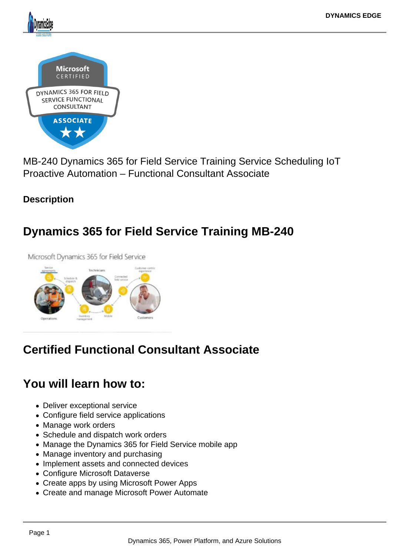MB-240 Dynamics 365 for Field Service Training Service Scheduling IoT Proactive Automation – Functional Consultant Associate

**Description** 

Dynamics 365 for Field Service Training MB-240

## Certified Functional Consultant Associate

## You will learn how to:

- Deliver exceptional service
- Configure field service applications
- Manage work orders
- Schedule and dispatch work orders
- Manage the Dynamics 365 for Field Service mobile app
- Manage inventory and purchasing
- Implement assets and connected devices
- Configure Microsoft Dataverse
- Create apps by using Microsoft Power Apps
- Create and manage Microsoft Power Automate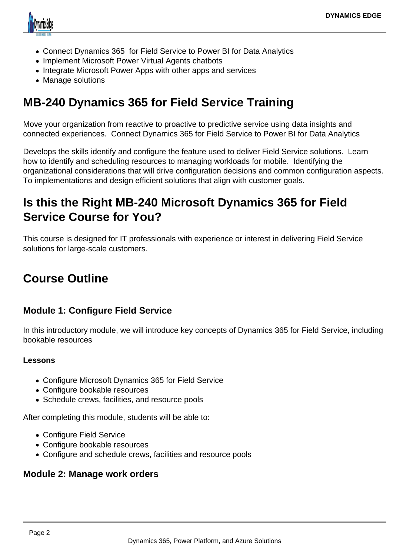

- Connect Dynamics 365 for Field Service to Power BI for Data Analytics
- Implement Microsoft Power Virtual Agents chatbots
- Integrate Microsoft Power Apps with other apps and services
- Manage solutions

# **MB-240 Dynamics 365 for Field Service Training**

Move your organization from reactive to proactive to predictive service using data insights and connected experiences. Connect Dynamics 365 for Field Service to Power BI for Data Analytics

Develops the skills identify and configure the feature used to deliver Field Service solutions. Learn how to identify and scheduling resources to managing workloads for mobile. Identifying the organizational considerations that will drive configuration decisions and common configuration aspects. To implementations and design efficient solutions that align with customer goals.

# **Is this the Right MB-240 Microsoft Dynamics 365 for Field Service Course for You?**

This course is designed for IT professionals with experience or interest in delivering Field Service solutions for large-scale customers.

# **Course Outline**

## **Module 1: Configure Field Service**

In this introductory module, we will introduce key concepts of Dynamics 365 for Field Service, including bookable resources

#### **Lessons**

- Configure Microsoft Dynamics 365 for Field Service
- Configure bookable resources
- Schedule crews, facilities, and resource pools

After completing this module, students will be able to:

- Configure Field Service
- Configure bookable resources
- Configure and schedule crews, facilities and resource pools

### **Module 2: Manage work orders**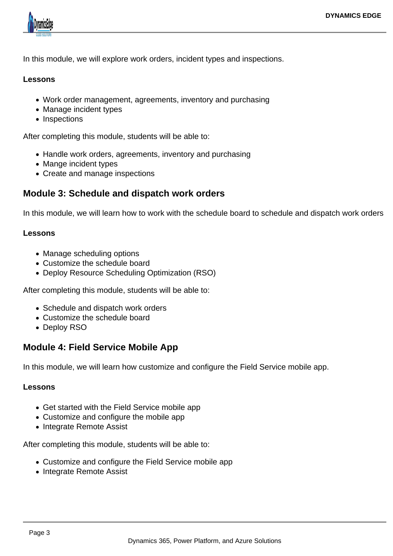

In this module, we will explore work orders, incident types and inspections.

#### **Lessons**

- Work order management, agreements, inventory and purchasing
- Manage incident types
- Inspections

After completing this module, students will be able to:

- Handle work orders, agreements, inventory and purchasing
- Mange incident types
- Create and manage inspections

### **Module 3: Schedule and dispatch work orders**

In this module, we will learn how to work with the schedule board to schedule and dispatch work orders

#### **Lessons**

- Manage scheduling options
- Customize the schedule board
- Deploy Resource Scheduling Optimization (RSO)

After completing this module, students will be able to:

- Schedule and dispatch work orders
- Customize the schedule board
- Deploy RSO

## **Module 4: Field Service Mobile App**

In this module, we will learn how customize and configure the Field Service mobile app.

#### **Lessons**

- Get started with the Field Service mobile app
- Customize and configure the mobile app
- Integrate Remote Assist

After completing this module, students will be able to:

- Customize and configure the Field Service mobile app
- Integrate Remote Assist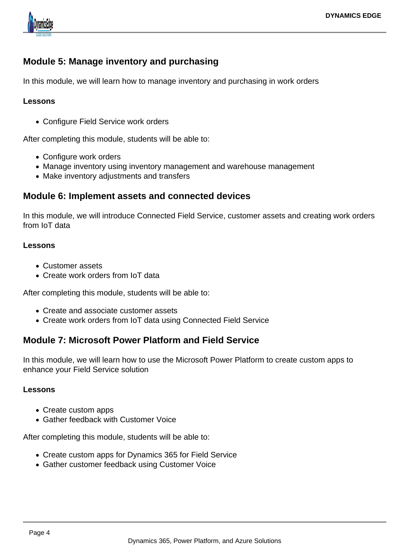

## **Module 5: Manage inventory and purchasing**

In this module, we will learn how to manage inventory and purchasing in work orders

#### **Lessons**

Configure Field Service work orders

After completing this module, students will be able to:

- Configure work orders
- Manage inventory using inventory management and warehouse management
- Make inventory adjustments and transfers

#### **Module 6: Implement assets and connected devices**

In this module, we will introduce Connected Field Service, customer assets and creating work orders from IoT data

#### **Lessons**

- Customer assets
- Create work orders from IoT data

After completing this module, students will be able to:

- Create and associate customer assets
- Create work orders from IoT data using Connected Field Service

### **Module 7: Microsoft Power Platform and Field Service**

In this module, we will learn how to use the Microsoft Power Platform to create custom apps to enhance your Field Service solution

#### **Lessons**

- Create custom apps
- Gather feedback with Customer Voice

After completing this module, students will be able to:

- Create custom apps for Dynamics 365 for Field Service
- Gather customer feedback using Customer Voice